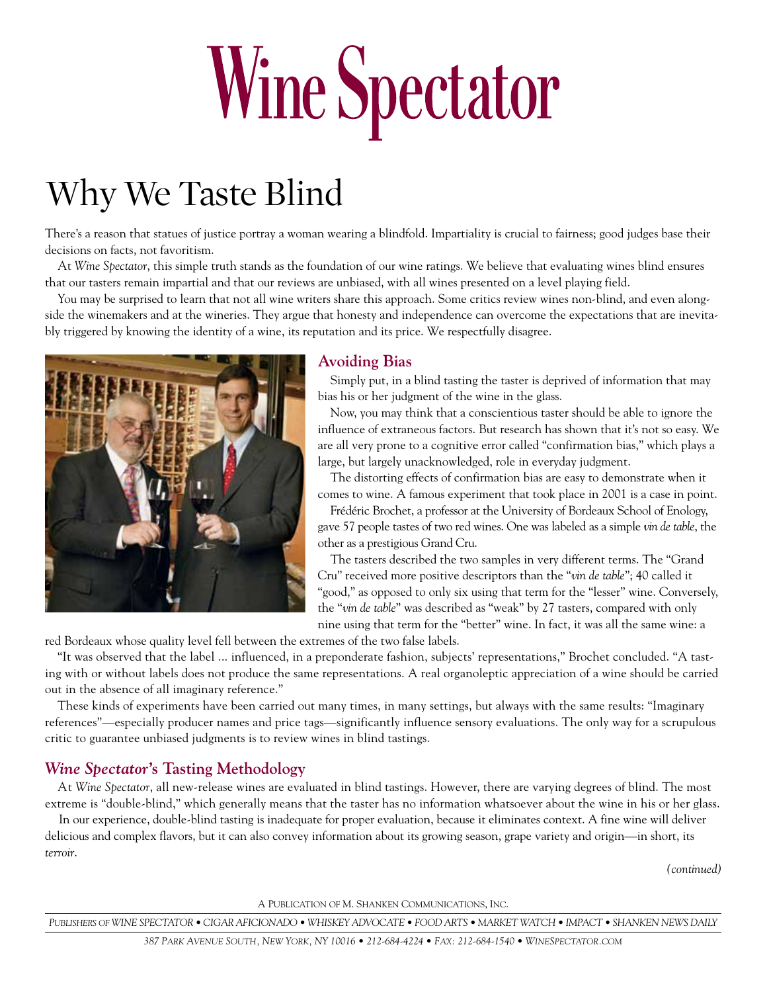# Wine Spectator

# Why We Taste Blind

There's a reason that statues of justice portray a woman wearing a blindfold. Impartiality is crucial to fairness; good judges base their decisions on facts, not favoritism.

At *Wine Spectator*, this simple truth stands as the foundation of our wine ratings. We believe that evaluating wines blind ensures that our tasters remain impartial and that our reviews are unbiased, with all wines presented on a level playing field.

You may be surprised to learn that not all wine writers share this approach. Some critics review wines non-blind, and even alongside the winemakers and at the wineries. They argue that honesty and independence can overcome the expectations that are inevitably triggered by knowing the identity of a wine, its reputation and its price. We respectfully disagree.



### **Avoiding Bias**

Simply put, in a blind tasting the taster is deprived of information that may bias his or her judgment of the wine in the glass.

Now, you may think that a conscientious taster should be able to ignore the influence of extraneous factors. But research has shown that it's not so easy. We are all very prone to a cognitive error called "confirmation bias," which plays a large, but largely unacknowledged, role in everyday judgment.

The distorting effects of confirmation bias are easy to demonstrate when it comes to wine. A famous experiment that took place in 2001 is a case in point.

Frédéric Brochet, a professor at the University of Bordeaux School of Enology, gave 57 people tastes of two red wines. One was labeled as a simple *vin de table*, the other as a prestigious Grand Cru.

The tasters described the two samples in very different terms. The "Grand Cru" received more positive descriptors than the "*vin de table*"; 40 called it "good," as opposed to only six using that term for the "lesser" wine. Conversely, the "*vin de table*" was described as "weak" by 27 tasters, compared with only nine using that term for the "better" wine. In fact, it was all the same wine: a

red Bordeaux whose quality level fell between the extremes of the two false labels.

"It was observed that the label ... influenced, in a preponderate fashion, subjects' representations," Brochet concluded. "A tasting with or without labels does not produce the same representations. A real organoleptic appreciation of a wine should be carried out in the absence of all imaginary reference."

These kinds of experiments have been carried out many times, in many settings, but always with the same results: "Imaginary references"—especially producer names and price tags—significantly influence sensory evaluations. The only way for a scrupulous critic to guarantee unbiased judgments is to review wines in blind tastings.

## *Wine Spectator***'s Tasting Methodology**

At *Wine Spectator*, all new-release wines are evaluated in blind tastings. However, there are varying degrees of blind. The most extreme is "double-blind," which generally means that the taster has no information whatsoever about the wine in his or her glass.

In our experience, double-blind tasting is inadequate for proper evaluation, because it eliminates context. A fine wine will deliver delicious and complex flavors, but it can also convey information about its growing season, grape variety and origin—in short, its *terroir*.

*(continued)*

A Publication of M. Shanken Communications, Inc.